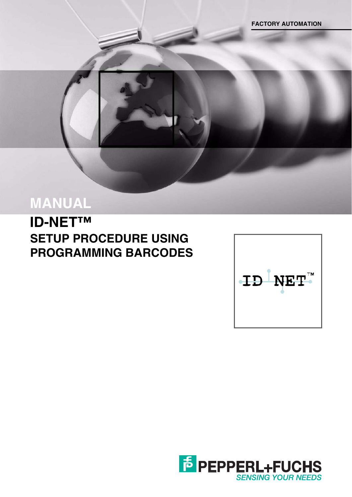# **MANUAL**

**ID-NET™ SETUP PROCEDURE USING PROGRAMMING BARCODES**



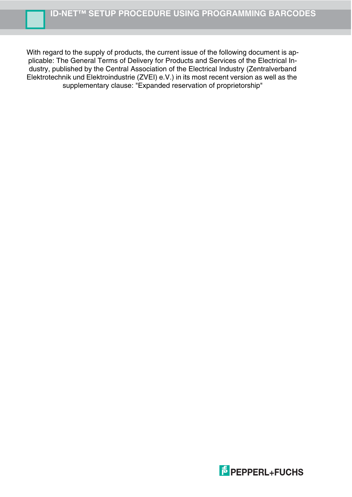With regard to the supply of products, the current issue of the following document is applicable: The General Terms of Delivery for Products and Services of the Electrical Industry, published by the Central Association of the Electrical Industry (Zentralverband Elektrotechnik und Elektroindustrie (ZVEI) e.V.) in its most recent version as well as the supplementary clause: "Expanded reservation of proprietorship"

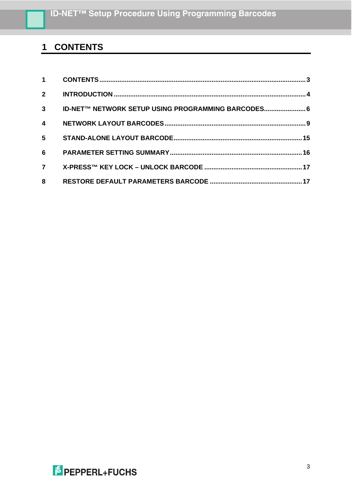## <span id="page-2-0"></span>**CONTENTS**

| $1 \quad \blacksquare$  |                                                    |  |
|-------------------------|----------------------------------------------------|--|
| $2^{\circ}$             |                                                    |  |
| 3 <sup>7</sup>          | ID-NET™ NETWORK SETUP USING PROGRAMMING BARCODES 6 |  |
| $\overline{\mathbf{4}}$ |                                                    |  |
| 5                       |                                                    |  |
| 6                       |                                                    |  |
| $\overline{7}$          |                                                    |  |
| 8                       |                                                    |  |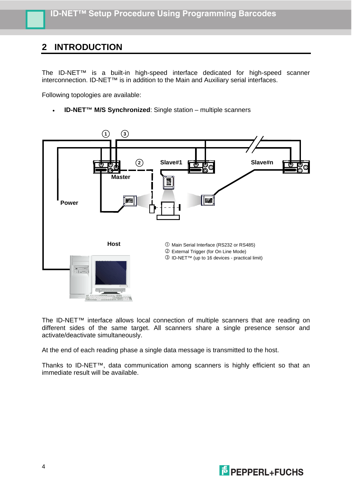### <span id="page-3-0"></span>**2 INTRODUCTION**

The ID-NET™ is a built-in high-speed interface dedicated for high-speed scanner interconnection. ID-NET™ is in addition to the Main and Auxiliary serial interfaces.

Following topologies are available:

**ID-NET™ M/S Synchronized**: Single station – multiple scanners



The ID-NET™ interface allows local connection of multiple scanners that are reading on different sides of the same target. All scanners share a single presence sensor and activate/deactivate simultaneously.

At the end of each reading phase a single data message is transmitted to the host.

Thanks to ID-NET™, data communication among scanners is highly efficient so that an immediate result will be available.

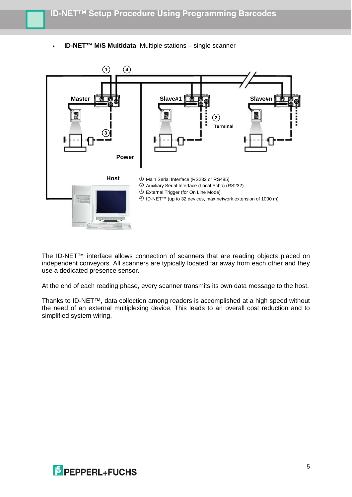**ID-NET™ M/S Multidata**: Multiple stations – single scanner



The ID-NET™ interface allows connection of scanners that are reading objects placed on independent conveyors. All scanners are typically located far away from each other and they use a dedicated presence sensor.

At the end of each reading phase, every scanner transmits its own data message to the host.

Thanks to ID-NET™, data collection among readers is accomplished at a high speed without the need of an external multiplexing device. This leads to an overall cost reduction and to simplified system wiring.

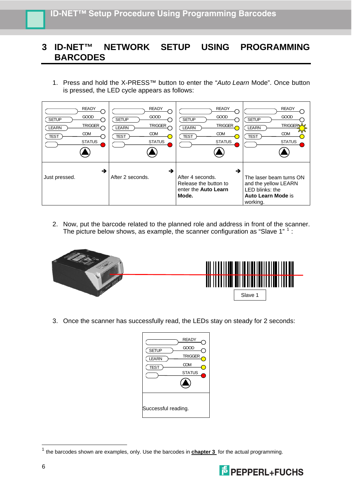#### <span id="page-5-0"></span>**3 ID-NET™ NETWORK SETUP USING PROGRAMMING BARCODES**

1. Press and hold the X-PRESS™ button to enter the "*Auto Learn* Mode". Once button is pressed, the LED cycle appears as follows:



2. Now, put the barcode related to the planned role and address in front of the scanner. The picture below shows, as example, the scanner configuration as "Slave [1](#page-5-1)"  $1$  :



3. Once the scanner has successfully read, the LEDs stay on steady for 2 seconds:

| <b>SETUP</b><br><b>LEARN</b><br><b>TEST</b> | <b>READY</b><br>GOOD<br><b>TRIGGER</b><br>COM<br><b>STATUS</b> |  |  |  |
|---------------------------------------------|----------------------------------------------------------------|--|--|--|
| Successful reading.                         |                                                                |  |  |  |

<span id="page-5-1"></span><sup>1</sup> the barcodes shown are examples, only. Use the barcodes in **chapter 3** for the actual programming.



-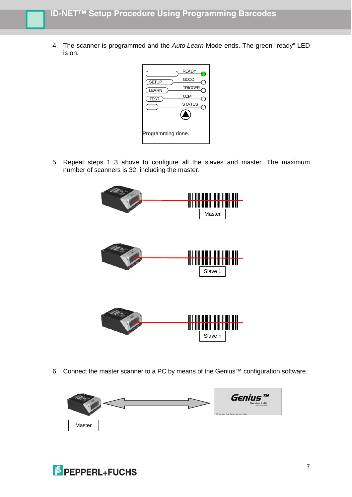4. The scanner is programmed and the *Auto Learn* Mode ends. The green "ready" LED is on.



5. Repeat steps 1..3 above to configure all the slaves and master. The maximum number of scanners is 32, including the master.



6. Connect the master scanner to a PC by means of the Genius™ configuration software.



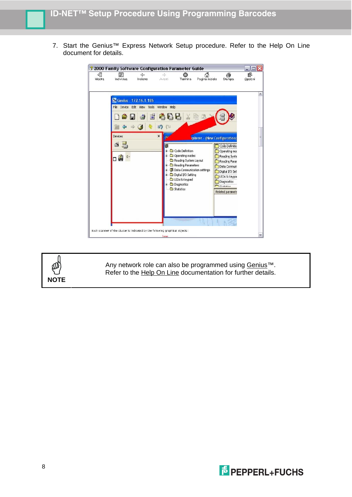7. Start the Genius<sup>™</sup> Express Network Setup procedure. Refer to the Help On Line document for details.





Any network role can also be programmed using Genius™. Refer to the Help On Line documentation for further details.

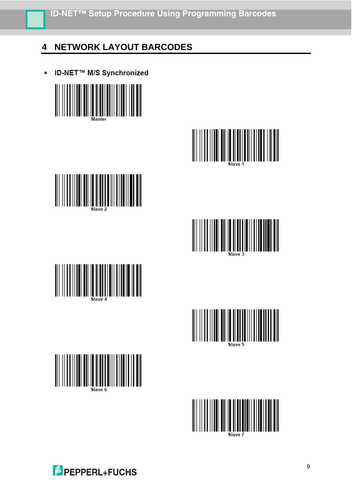### <span id="page-8-0"></span>**4 NETWORK LAYOUT BARCODES**

**ID-NET™ M/S Synchronized** 















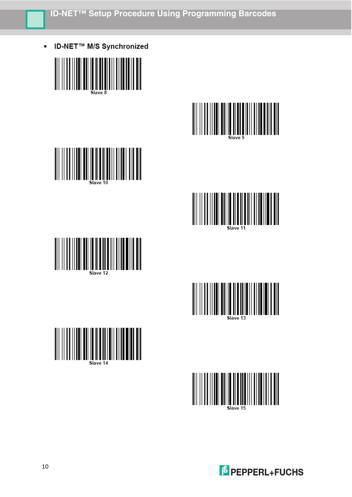ID-NET™ M/S Synchronized  $\blacksquare$ 

















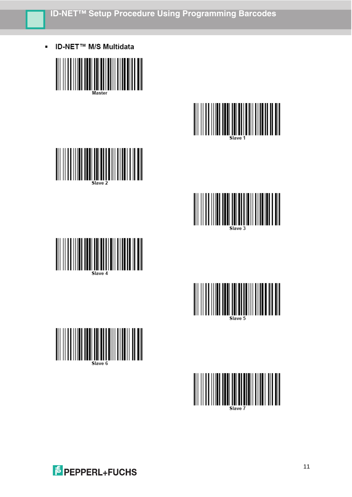**ID-NET™ M/S Multidata** 















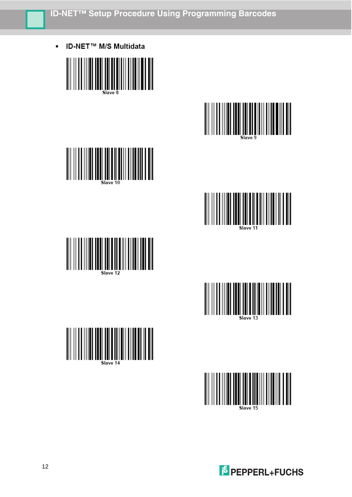**ID-NET™ M/S Multidata** 

















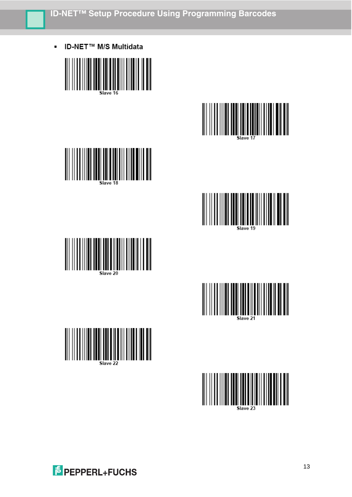**ID-NET™ M/S Multidata**  $\blacksquare$ 

















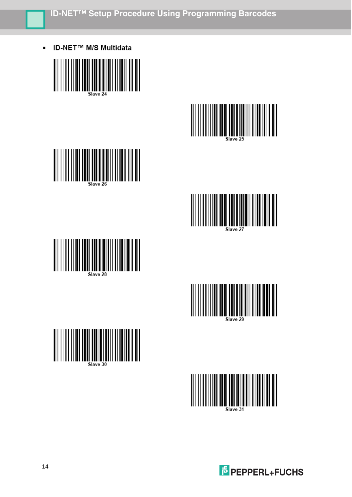**ID-NET™ M/S Multidata** 

















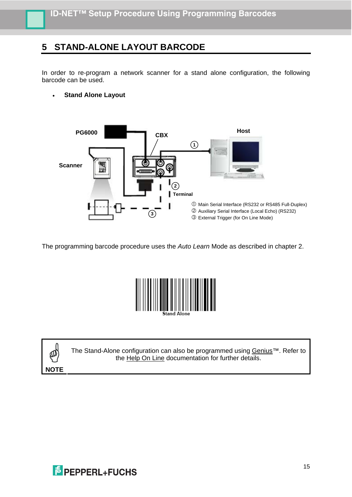#### <span id="page-14-0"></span>**5 STAND-ALONE LAYOUT BARCODE**

In order to re-program a network scanner for a stand alone configuration, the following barcode can be used.

**Stand Alone Layout** 



The programming barcode procedure uses the *Auto Learn* Mode as described in chapter 2.





The Stand-Alone configuration can also be programmed using Genius™. Refer to the Help On Line documentation for further details.

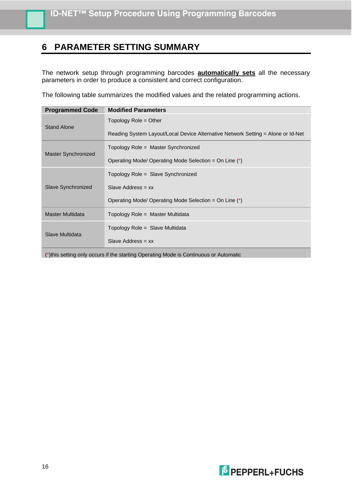#### <span id="page-15-0"></span>**6 PARAMETER SETTING SUMMARY**

The network setup through programming barcodes **automatically sets** all the necessary parameters in order to produce a consistent and correct configuration.

The following table summarizes the modified values and the related programming actions.

| <b>Modified Parameters</b>                                                       |
|----------------------------------------------------------------------------------|
| Topology Role $=$ Other                                                          |
| Reading System Layout/Local Device Alternative Network Setting = Alone or Id-Net |
| Topology Role = Master Synchronized                                              |
| Operating Mode/ Operating Mode Selection = On Line (*)                           |
| Topology Role = Slave Synchronized                                               |
| Slave Address = $xx$                                                             |
| Operating Mode/ Operating Mode Selection = On Line (*)                           |
| Topology Role = Master Multidata                                                 |
| Topology Role = Slave Multidata                                                  |
| Slave Address = $xx$                                                             |
|                                                                                  |

(\*)this setting only occurs if the starting Operating Mode is Continuous or Automatic

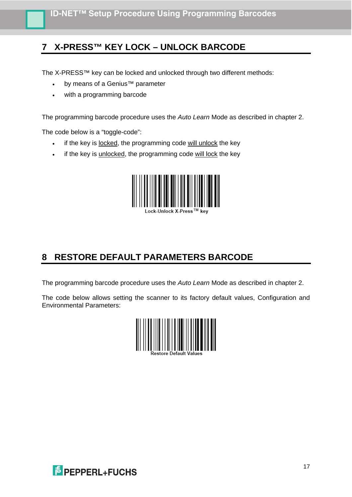### <span id="page-16-0"></span>**7 X-PRESS™ KEY LOCK – UNLOCK BARCODE**

The X-PRESS™ key can be locked and unlocked through two different methods:

- by means of a Genius<sup>™</sup> parameter
- with a programming barcode

The programming barcode procedure uses the *Auto Learn* Mode as described in chapter 2.

The code below is a "toggle-code":

- if the key is locked, the programming code will unlock the key
- if the key is unlocked, the programming code will lock the key



### <span id="page-16-1"></span>**8 RESTORE DEFAULT PARAMETERS BARCODE**

The programming barcode procedure uses the *Auto Learn* Mode as described in chapter 2.

The code below allows setting the scanner to its factory default values, Configuration and Environmental Parameters:



**E** PEPPERL+FUCHS